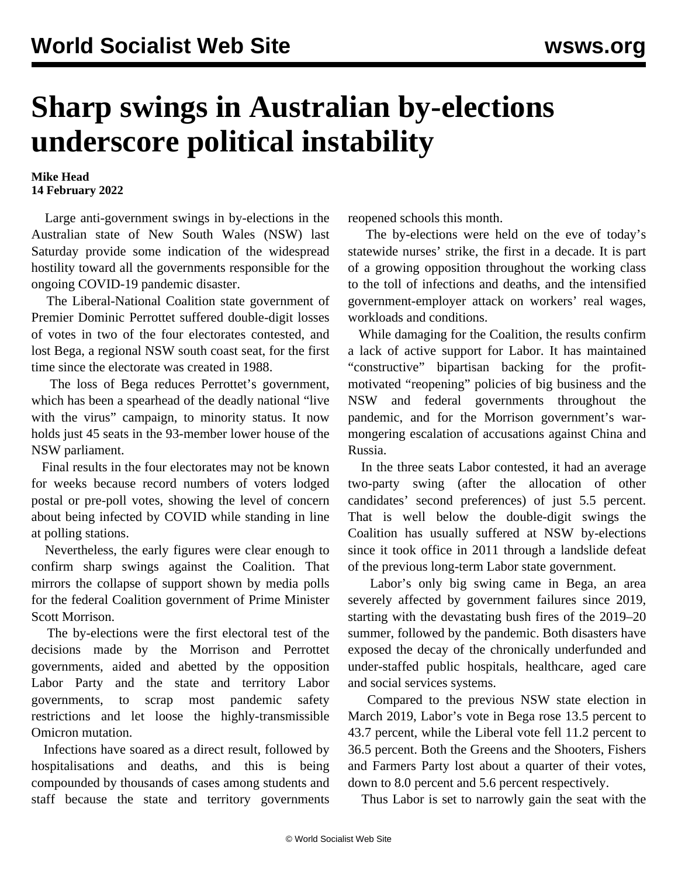## **Sharp swings in Australian by-elections underscore political instability**

**Mike Head 14 February 2022**

 Large anti-government swings in by-elections in the Australian state of New South Wales (NSW) last Saturday provide some indication of the widespread hostility toward all the governments responsible for the ongoing COVID-19 pandemic disaster.

 The Liberal-National Coalition state government of Premier Dominic Perrottet suffered double-digit losses of votes in two of the four electorates contested, and lost Bega, a regional NSW south coast seat, for the first time since the electorate was created in 1988.

 The loss of Bega reduces Perrottet's government, which has been a spearhead of the deadly national "live with the virus" campaign, to minority status. It now holds just 45 seats in the 93-member lower house of the NSW parliament.

 Final results in the four electorates may not be known for weeks because record numbers of voters lodged postal or pre-poll votes, showing the level of concern about being infected by COVID while standing in line at polling stations.

 Nevertheless, the early figures were clear enough to confirm sharp swings against the Coalition. That mirrors the collapse of support shown by media polls for the federal Coalition government of Prime Minister Scott Morrison.

 The by-elections were the first electoral test of the decisions made by the Morrison and Perrottet governments, aided and abetted by the opposition Labor Party and the state and territory Labor governments, to scrap most pandemic safety restrictions and let loose the highly-transmissible Omicron mutation.

 Infections have soared as a direct result, followed by hospitalisations and deaths, and this is being compounded by thousands of cases among students and staff because the state and territory governments reopened schools this month.

 The by-elections were held on the eve of today's statewide nurses' strike, the first in a decade. It is part of a growing opposition throughout the working class to the toll of infections and deaths, and the intensified government-employer attack on workers' real wages, workloads and conditions.

 While damaging for the Coalition, the results confirm a lack of active support for Labor. It has maintained "constructive" bipartisan backing for the profitmotivated "reopening" policies of big business and the NSW and federal governments throughout the pandemic, and for the Morrison government's warmongering escalation of accusations against China and Russia.

 In the three seats Labor contested, it had an average two-party swing (after the allocation of other candidates' second preferences) of just 5.5 percent. That is well below the double-digit swings the Coalition has usually suffered at NSW by-elections since it took office in 2011 through a landslide defeat of the previous long-term Labor state government.

 Labor's only big swing came in Bega, an area severely affected by government failures since 2019, starting with the devastating bush fires of the 2019–20 summer, followed by the pandemic. Both disasters have exposed the decay of the chronically underfunded and under-staffed public hospitals, healthcare, aged care and social services systems.

 Compared to the previous NSW state election in March 2019, Labor's vote in Bega rose 13.5 percent to 43.7 percent, while the Liberal vote fell 11.2 percent to 36.5 percent. Both the Greens and the Shooters, Fishers and Farmers Party lost about a quarter of their votes, down to 8.0 percent and 5.6 percent respectively.

Thus Labor is set to narrowly gain the seat with the